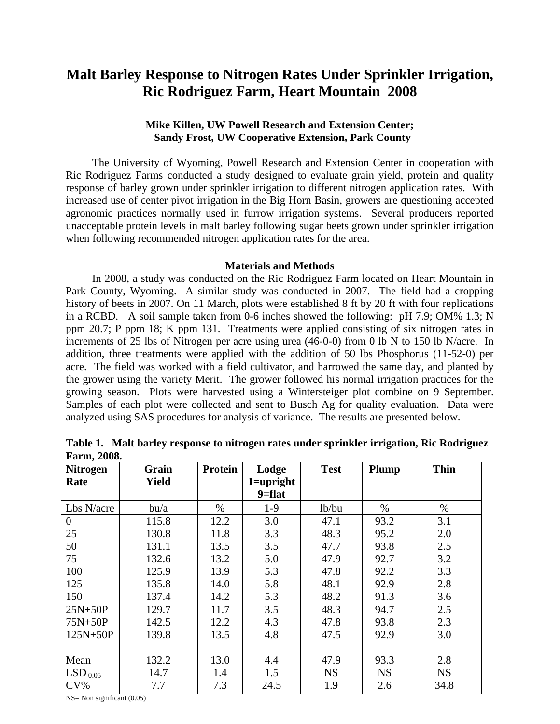## **Malt Barley Response to Nitrogen Rates Under Sprinkler Irrigation, Ric Rodriguez Farm, Heart Mountain 2008**

## **Mike Killen, UW Powell Research and Extension Center; Sandy Frost, UW Cooperative Extension, Park County**

 The University of Wyoming, Powell Research and Extension Center in cooperation with Ric Rodriguez Farms conducted a study designed to evaluate grain yield, protein and quality response of barley grown under sprinkler irrigation to different nitrogen application rates. With increased use of center pivot irrigation in the Big Horn Basin, growers are questioning accepted agronomic practices normally used in furrow irrigation systems. Several producers reported unacceptable protein levels in malt barley following sugar beets grown under sprinkler irrigation when following recommended nitrogen application rates for the area.

## **Materials and Methods**

 In 2008, a study was conducted on the Ric Rodriguez Farm located on Heart Mountain in Park County, Wyoming. A similar study was conducted in 2007. The field had a cropping history of beets in 2007. On 11 March, plots were established 8 ft by 20 ft with four replications in a RCBD. A soil sample taken from 0-6 inches showed the following: pH 7.9; OM% 1.3; N ppm 20.7; P ppm 18; K ppm 131. Treatments were applied consisting of six nitrogen rates in increments of 25 lbs of Nitrogen per acre using urea (46-0-0) from 0 lb N to 150 lb N/acre. In addition, three treatments were applied with the addition of 50 lbs Phosphorus (11-52-0) per acre. The field was worked with a field cultivator, and harrowed the same day, and planted by the grower using the variety Merit. The grower followed his normal irrigation practices for the growing season. Plots were harvested using a Wintersteiger plot combine on 9 September. Samples of each plot were collected and sent to Busch Ag for quality evaluation. Data were analyzed using SAS procedures for analysis of variance. The results are presented below.

| <b>Nitrogen</b> | Grain        | Protein | Lodge         | <b>Test</b> | Plump     | <b>Thin</b> |
|-----------------|--------------|---------|---------------|-------------|-----------|-------------|
| Rate            | <b>Yield</b> |         | $1 =$ upright |             |           |             |
|                 |              |         | $9 = flat$    |             |           |             |
| Lbs N/acre      | $b$ u/a      | %       | $1-9$         | lb/bu       | $\%$      | $\%$        |
| $\theta$        | 115.8        | 12.2    | 3.0           | 47.1        | 93.2      | 3.1         |
| 25              | 130.8        | 11.8    | 3.3           | 48.3        | 95.2      | 2.0         |
| 50              | 131.1        | 13.5    | 3.5           | 47.7        | 93.8      | 2.5         |
| 75              | 132.6        | 13.2    | 5.0           | 47.9        | 92.7      | 3.2         |
| 100             | 125.9        | 13.9    | 5.3           | 47.8        | 92.2      | 3.3         |
| 125             | 135.8        | 14.0    | 5.8           | 48.1        | 92.9      | 2.8         |
| 150             | 137.4        | 14.2    | 5.3           | 48.2        | 91.3      | 3.6         |
| $25N+50P$       | 129.7        | 11.7    | 3.5           | 48.3        | 94.7      | 2.5         |
| $75N+50P$       | 142.5        | 12.2    | 4.3           | 47.8        | 93.8      | 2.3         |
| $125N+50P$      | 139.8        | 13.5    | 4.8           | 47.5        | 92.9      | 3.0         |
|                 |              |         |               |             |           |             |
| Mean            | 132.2        | 13.0    | 4.4           | 47.9        | 93.3      | 2.8         |
| $LSD_{0.05}$    | 14.7         | 1.4     | 1.5           | <b>NS</b>   | <b>NS</b> | <b>NS</b>   |
| $CV\%$          | 7.7          | 7.3     | 24.5          | 1.9         | 2.6       | 34.8        |

**Table 1. Malt barley response to nitrogen rates under sprinkler irrigation, Ric Rodriguez Farm, 2008.** 

NS= Non significant (0.05)